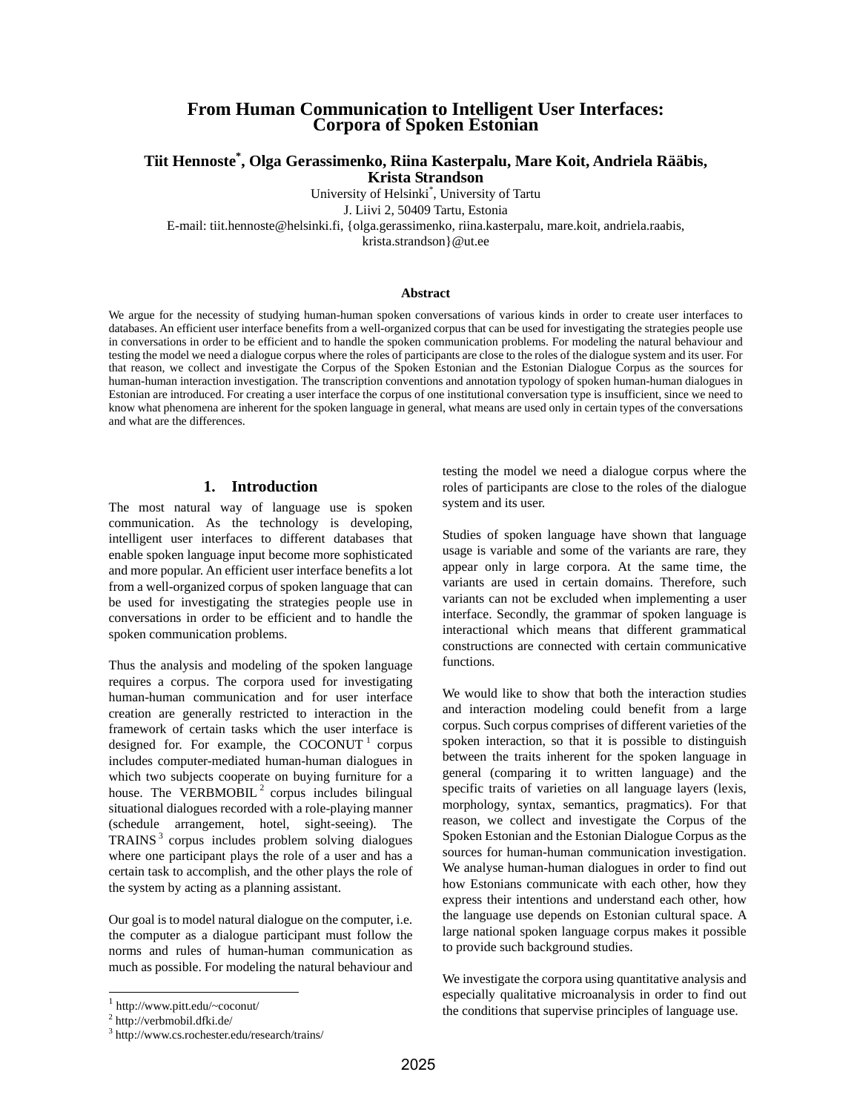# **From Human Communication to Intelligent User Interfaces: Corpora of Spoken Estonian**

# **Tiit Hennoste\* , Olga Gerassimenko, Riina Kasterpalu, Mare Koit, Andriela Rääbis, Krista Strandson**

University of Helsinki\* , University of Tartu

J. Liivi 2, 50409 Tartu, Estonia

E-mail: tiit.hennoste@helsinki.fi, {olga.gerassimenko, riina.kasterpalu, mare.koit, andriela.raabis,

krista.strandson}@ut.ee

#### **Abstract**

We argue for the necessity of studying human-human spoken conversations of various kinds in order to create user interfaces to databases. An efficient user interface benefits from a well-organized corpus that can be used for investigating the strategies people use in conversations in order to be efficient and to handle the spoken communication problems. For modeling the natural behaviour and testing the model we need a dialogue corpus where the roles of participants are close to the roles of the dialogue system and its user. For that reason, we collect and investigate the Corpus of the Spoken Estonian and the Estonian Dialogue Corpus as the sources for human-human interaction investigation. The transcription conventions and annotation typology of spoken human-human dialogues in Estonian are introduced. For creating a user interface the corpus of one institutional conversation type is insufficient, since we need to know what phenomena are inherent for the spoken language in general, what means are used only in certain types of the conversations and what are the differences.

# **1. Introduction**

The most natural way of language use is spoken communication. As the technology is developing, intelligent user interfaces to different databases that enable spoken language input become more sophisticated and more popular. An efficient user interface benefits a lot from a well-organized corpus of spoken language that can be used for investigating the strategies people use in conversations in order to be efficient and to handle the spoken communication problems.

Thus the analysis and modeling of the spoken language requires a corpus. The corpora used for investigating human-human communication and for user interface creation are generally restricted to interaction in the framework of certain tasks which the user interface is designed for. For example, the COCONUT  $1$  corpus includes computer-mediated human-human dialogues in which two subjects cooperate on buying furniture for a house. The VERBMOBIL<sup>2</sup> corpus includes bilingual situational dialogues recorded with a role-playing manner (schedule arrangement, hotel, sight-seeing). The TRAINS<sup>3</sup> corpus includes problem solving dialogues where one participant plays the role of a user and has a certain task to accomplish, and the other plays the role of the system by acting as a planning assistant.

Our goal is to model natural dialogue on the computer, i.e. the computer as a dialogue participant must follow the norms and rules of human-human communication as much as possible. For modeling the natural behaviour and

 $\overline{a}$ 

testing the model we need a dialogue corpus where the roles of participants are close to the roles of the dialogue system and its user.

Studies of spoken language have shown that language usage is variable and some of the variants are rare, they appear only in large corpora. At the same time, the variants are used in certain domains. Therefore, such variants can not be excluded when implementing a user interface. Secondly, the grammar of spoken language is interactional which means that different grammatical constructions are connected with certain communicative functions.

We would like to show that both the interaction studies and interaction modeling could benefit from a large corpus. Such corpus comprises of different varieties of the spoken interaction, so that it is possible to distinguish between the traits inherent for the spoken language in general (comparing it to written language) and the specific traits of varieties on all language layers (lexis, morphology, syntax, semantics, pragmatics). For that reason, we collect and investigate the Corpus of the Spoken Estonian and the Estonian Dialogue Corpus as the sources for human-human communication investigation. We analyse human-human dialogues in order to find out how Estonians communicate with each other, how they express their intentions and understand each other, how the language use depends on Estonian cultural space. A large national spoken language corpus makes it possible to provide such background studies.

We investigate the corpora using quantitative analysis and especially qualitative microanalysis in order to find out the conditions that supervise principles of language use.

<sup>1</sup> http://www.pitt.edu/~coconut/

<sup>2</sup> http://verbmobil.dfki.de/

<sup>3</sup> http://www.cs.rochester.edu/research/trains/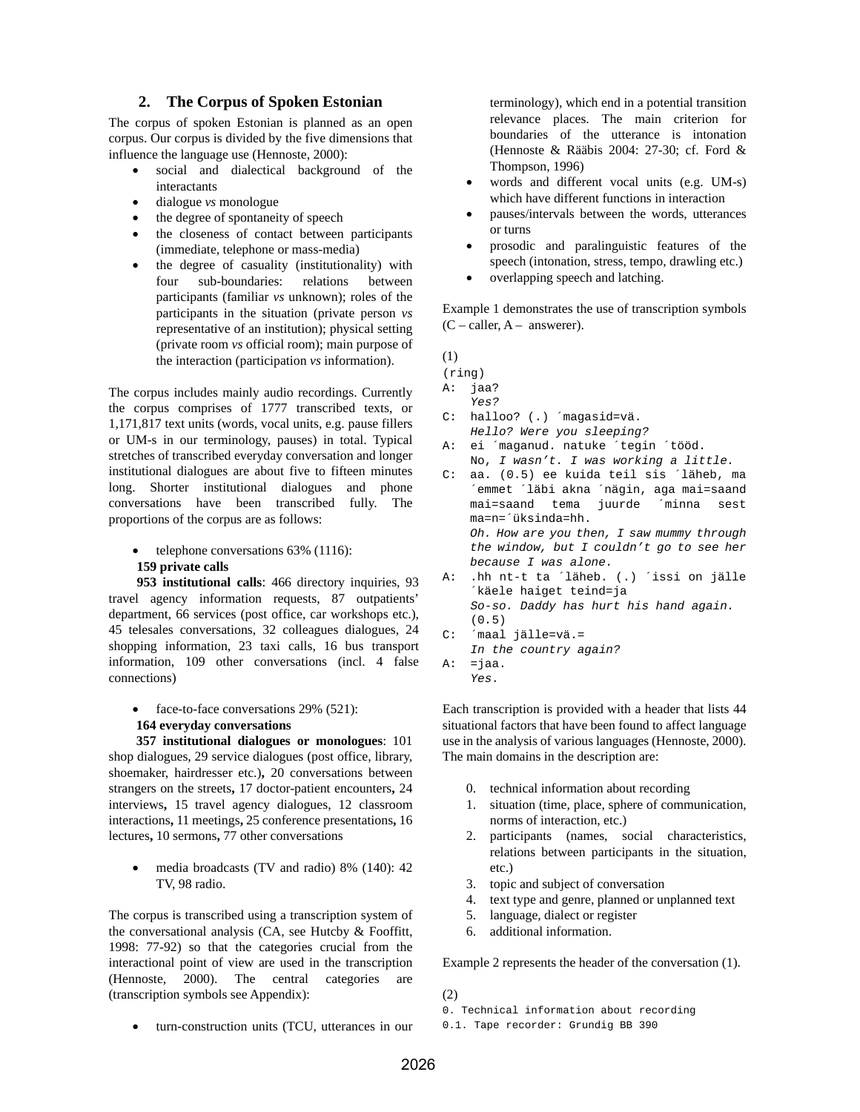## **2. The Corpus of Spoken Estonian**

The corpus of spoken Estonian is planned as an open corpus. Our corpus is divided by the five dimensions that influence the language use (Hennoste, 2000):

- social and dialectical background of the interactants
- dialogue *vs* monologue
- the degree of spontaneity of speech
- the closeness of contact between participants (immediate, telephone or mass-media)
- the degree of casuality (institutionality) with four sub-boundaries: relations between participants (familiar *vs* unknown); roles of the participants in the situation (private person *vs* representative of an institution); physical setting (private room *vs* official room); main purpose of the interaction (participation *vs* information).

The corpus includes mainly audio recordings. Currently the corpus comprises of 1777 transcribed texts, or 1,171,817 text units (words, vocal units, e.g. pause fillers or UM-s in our terminology, pauses) in total. Typical stretches of transcribed everyday conversation and longer institutional dialogues are about five to fifteen minutes long. Shorter institutional dialogues and phone conversations have been transcribed fully. The proportions of the corpus are as follows:

• telephone conversations 63% (1116):

#### **159 private calls**

**953 institutional calls**: 466 directory inquiries, 93 travel agency information requests, 87 outpatients' department, 66 services (post office, car workshops etc.), 45 telesales conversations, 32 colleagues dialogues, 24 shopping information, 23 taxi calls, 16 bus transport information, 109 other conversations (incl. 4 false connections)

face-to-face conversations 29% (521):

# **164 everyday conversations**

**357 institutional dialogues or monologues**: 101 shop dialogues, 29 service dialogues (post office, library, shoemaker, hairdresser etc.)**,** 20 conversations between strangers on the streets**,** 17 doctor-patient encounters**,** 24 interviews**,** 15 travel agency dialogues, 12 classroom interactions**,** 11 meetings**,** 25 conference presentations**,** 16 lectures**,** 10 sermons**,** 77 other conversations

• media broadcasts (TV and radio) 8% (140): 42 TV, 98 radio.

The corpus is transcribed using a transcription system of the conversational analysis (CA, see Hutcby & Fooffitt, 1998: 77-92) so that the categories crucial from the interactional point of view are used in the transcription (Hennoste, 2000). The central categories are (transcription symbols see Appendix):

• turn-construction units (TCU, utterances in our

terminology), which end in a potential transition relevance places. The main criterion for boundaries of the utterance is intonation (Hennoste & Rääbis 2004: 27-30; cf. Ford & Thompson, 1996)

- words and different vocal units (e.g. UM-s) which have different functions in interaction
- pauses/intervals between the words, utterances or turns
- prosodic and paralinguistic features of the speech (intonation, stress, tempo, drawling etc.)
- overlapping speech and latching.

Example 1 demonstrates the use of transcription symbols  $(C - caller, A - answerer).$ 

(1)

- (ring) A: jaa? Yes? C: halloo? (.) ´magasid=vä. Hello? Were you sleeping? A: ei ´maganud. natuke ´tegin ´tööd. No, I wasn't. I was working a little. C: aa. (0.5) ee kuida teil sis ´läheb, ma
- ´emmet ´läbi akna ´nägin, aga mai=saand mai=saand tema juurde ´minna sest ma=n=´üksinda=hh. Oh. How are you then, I saw mummy through the window, but I couldn't go to see her because I was alone. A: .hh nt-t ta ´läheb. (.) ´issi on jälle ´käele haiget teind=ja
- So-so. Daddy has hurt his hand again. (0.5) C: ´maal jälle=vä.=
- In the country again?
- $A: =$ jaa. Yes.

Each transcription is provided with a header that lists 44 situational factors that have been found to affect language use in the analysis of various languages (Hennoste, 2000). The main domains in the description are:

- 0. technical information about recording
- 1. situation (time, place, sphere of communication, norms of interaction, etc.)
- 2. participants (names, social characteristics, relations between participants in the situation, etc.)
- 3. topic and subject of conversation
- 4. text type and genre, planned or unplanned text
- 5. language, dialect or register
- 6. additional information.

Example 2 represents the header of the conversation (1).

(2)

- 0. Technical information about recording
- 0.1. Tape recorder: Grundig BB 390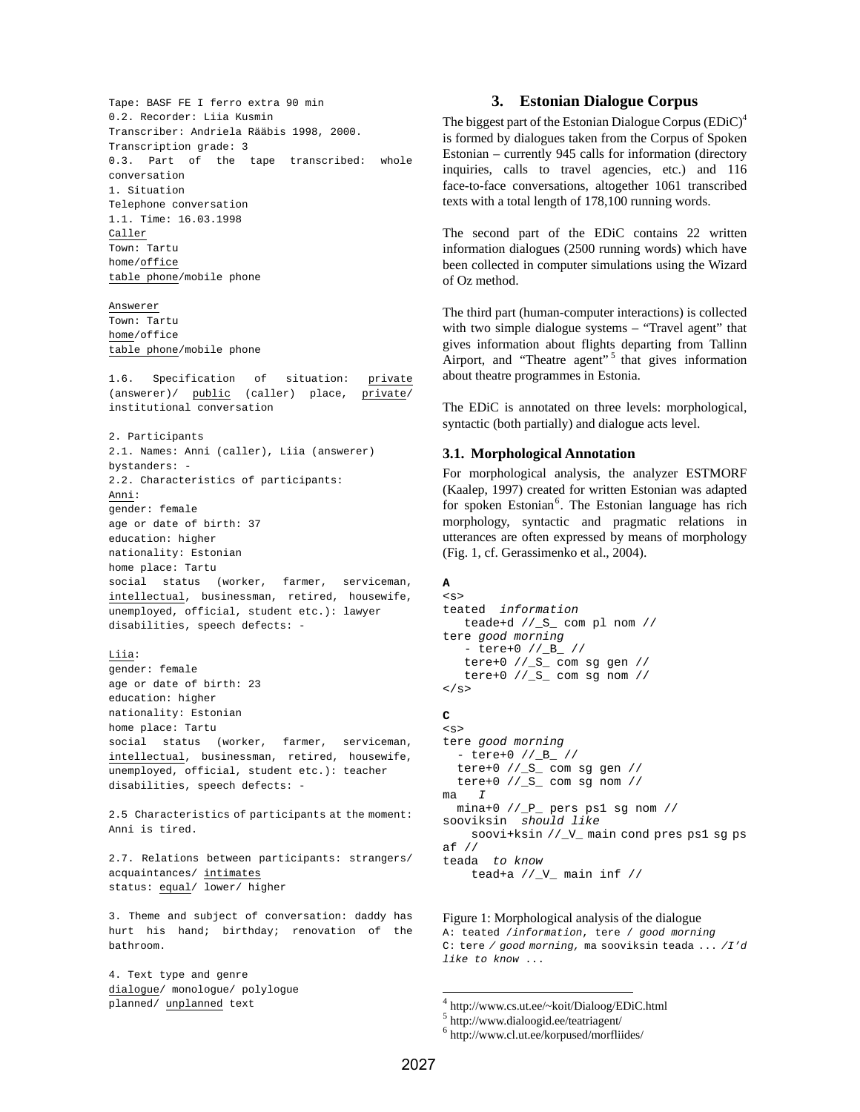Tape: BASF FE I ferro extra 90 min 0.2. Recorder: Liia Kusmin Transcriber: Andriela Rääbis 1998, 2000. Transcription grade: 3 0.3. Part of the tape transcribed: whole conversation 1. Situation Telephone conversation 1.1. Time: 16.03.1998 Caller Town: Tartu home/office table phone/mobile phone

#### Answerer

Town: Tartu home/office table phone/mobile phone

1.6. Specification of situation: private (answerer)/  $\frac{\text{public}}{\text{public}}$  (caller) place,  $\frac{\text{private}}{\text{private}}$ institutional conversation

2. Participants 2.1. Names: Anni (caller), Liia (answerer) bystanders: - 2.2. Characteristics of participants: Anni: gender: female age or date of birth: 37 education: higher nationality: Estonian home place: Tartu social status (worker, farmer, serviceman, intellectual, businessman, retired, housewife, unemployed, official, student etc.): lawyer disabilities, speech defects: -

#### Liia:

gender: female age or date of birth: 23 education: higher nationality: Estonian home place: Tartu social status (worker, farmer, serviceman, intellectual, businessman, retired, housewife, unemployed, official, student etc.): teacher disabilities, speech defects: -

2.5 Characteristics of participants at the moment: Anni is tired.

2.7. Relations between participants: strangers/ acquaintances/ intimates status: equal/ lower/ higher

3. Theme and subject of conversation: daddy has hurt his hand; birthday; renovation of the bathroom.

4. Text type and genre dialogue/ monologue/ polylogue planned/ unplanned text

## **3. Estonian Dialogue Corpus**

The biggest part of the Estonian Dialogue Corpus  $(EDiC)^4$ is formed by dialogues taken from the Corpus of Spoken Estonian – currently 945 calls for information (directory inquiries, calls to travel agencies, etc.) and 116 face-to-face conversations, altogether 1061 transcribed texts with a total length of 178,100 running words.

The second part of the EDiC contains 22 written information dialogues (2500 running words) which have been collected in computer simulations using the Wizard of Oz method.

The third part (human-computer interactions) is collected with two simple dialogue systems – "Travel agent" that gives information about flights departing from Tallinn Airport, and "Theatre agent"<sup>5</sup> that gives information about theatre programmes in Estonia.

The EDiC is annotated on three levels: morphological, syntactic (both partially) and dialogue acts level.

### **3.1. Morphological Annotation**

For morphological analysis, the analyzer ESTMORF (Kaalep, 1997) created for written Estonian was adapted for spoken Estonian<sup>6</sup>. The Estonian language has rich morphology, syntactic and pragmatic relations in utterances are often expressed by means of morphology (Fig. 1, cf. Gerassimenko et al., 2004).

# **A**

```
< steated information 
   teade+d //_S_ com pl nom // 
tere good morning
   - tere+0 //_B_ // 
   tere+0 // _S_ com sg gen //tere+0 //S_ com sg nom //\langle s>
C 
< stere good morning 
   - tere+0 //_B_ // 
  tere+0 // S_ com sg gen //
```
 tere+0 //\_S\_ com sg nom //  $ma$   $T$  mina+0 //\_P\_ pers ps1 sg nom // sooviksin should like soovi+ksin //\_V\_ main cond pres ps1 sg ps af // teada to know

tead+a //\_V\_ main inf //

Figure 1: Morphological analysis of the dialogue A: teated /information, tere / good morning C: tere / good morning, ma sooviksin teada ... /I'd like to know ...

4 http://www.cs.ut.ee/~koit/Dialoog/EDiC.html

-

<sup>5</sup> http://www.dialoogid.ee/teatriagent/

<sup>6</sup> http://www.cl.ut.ee/korpused/morfliides/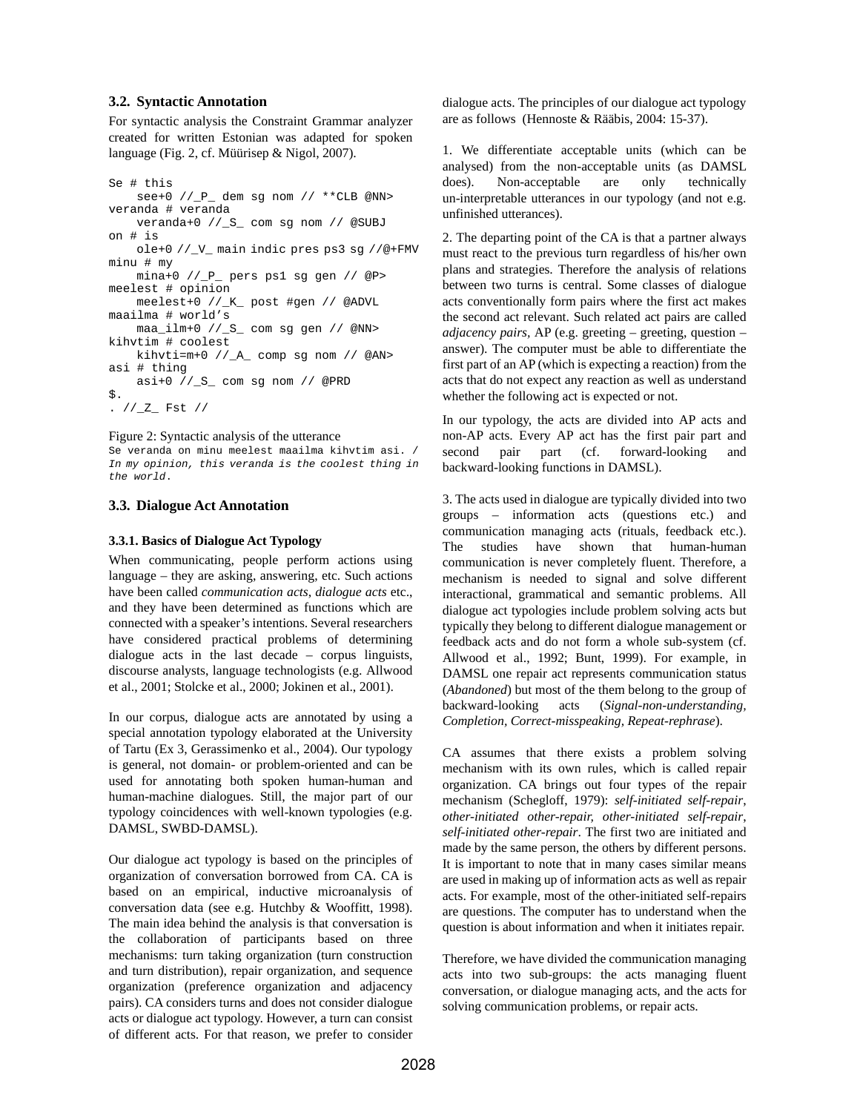## **3.2. Syntactic Annotation**

For syntactic analysis the Constraint Grammar analyzer created for written Estonian was adapted for spoken language (Fig. 2, cf. Müürisep & Nigol, 2007).

```
Se # this 
    see+0 //_P_ dem sg nom // **CLB @NN> 
veranda # veranda 
    veranda+0 //_S_ com sg nom // @SUBJ 
on # is 
    ole+0 //_V_ main indic pres ps3 sg //@+FMV 
minu # my 
    mina+0 //_P_ pers ps1 sg gen // @P> 
meelest # opinion 
    meelest+0 //_K_ post #gen // @ADVL 
maailma # world's 
    maa_ilm+0 //_S_ com sg gen // @NN> 
kihvtim # coolest 
    kihvti=m+0 //_A_ comp sg nom // @AN> 
asi # thing 
    asi+0 //_S_ com sg nom // @PRD 
$. 
. //Z_F Fst //
```
#### Figure 2: Syntactic analysis of the utterance

Se veranda on minu meelest maailma kihvtim asi. / In my opinion, this veranda is the coolest thing in the world.

# **3.3. Dialogue Act Annotation**

# **3.3.1. Basics of Dialogue Act Typology**

When communicating, people perform actions using language – they are asking, answering, etc. Such actions have been called *communication acts*, *dialogue acts* etc., and they have been determined as functions which are connected with a speaker's intentions. Several researchers have considered practical problems of determining dialogue acts in the last decade – corpus linguists, discourse analysts, language technologists (e.g. Allwood et al., 2001; Stolcke et al., 2000; Jokinen et al., 2001).

In our corpus, dialogue acts are annotated by using a special annotation typology elaborated at the University of Tartu (Ex 3, Gerassimenko et al., 2004). Our typology is general, not domain- or problem-oriented and can be used for annotating both spoken human-human and human-machine dialogues. Still, the major part of our typology coincidences with well-known typologies (e.g. DAMSL, SWBD-DAMSL).

Our dialogue act typology is based on the principles of organization of conversation borrowed from CA. CA is based on an empirical, inductive microanalysis of conversation data (see e.g. Hutchby & Wooffitt, 1998). The main idea behind the analysis is that conversation is the collaboration of participants based on three mechanisms: turn taking organization (turn construction and turn distribution), repair organization, and sequence organization (preference organization and adjacency pairs). CA considers turns and does not consider dialogue acts or dialogue act typology. However, a turn can consist of different acts. For that reason, we prefer to consider

dialogue acts. The principles of our dialogue act typology are as follows (Hennoste & Rääbis, 2004: 15-37).

1. We differentiate acceptable units (which can be analysed) from the non-acceptable units (as DAMSL does). Non-acceptable are only technically un-interpretable utterances in our typology (and not e.g. unfinished utterances).

2. The departing point of the CA is that a partner always must react to the previous turn regardless of his/her own plans and strategies. Therefore the analysis of relations between two turns is central. Some classes of dialogue acts conventionally form pairs where the first act makes the second act relevant. Such related act pairs are called *adjacency pairs,* AP (e.g. greeting – greeting, question – answer). The computer must be able to differentiate the first part of an AP (which is expecting a reaction) from the acts that do not expect any reaction as well as understand whether the following act is expected or not.

In our typology, the acts are divided into AP acts and non-AP acts. Every AP act has the first pair part and second pair part (cf. forward-looking and backward-looking functions in DAMSL).

3. The acts used in dialogue are typically divided into two groups – information acts (questions etc.) and communication managing acts (rituals, feedback etc.). The studies have shown that human-human communication is never completely fluent. Therefore, a mechanism is needed to signal and solve different interactional, grammatical and semantic problems. All dialogue act typologies include problem solving acts but typically they belong to different dialogue management or feedback acts and do not form a whole sub-system (cf. Allwood et al., 1992; Bunt, 1999). For example, in DAMSL one repair act represents communication status (*Abandoned*) but most of the them belong to the group of backward-looking acts (*Signal-non-understanding, Completion, Correct-misspeaking, Repeat-rephrase*).

CA assumes that there exists a problem solving mechanism with its own rules, which is called repair organization. CA brings out four types of the repair mechanism (Schegloff, 1979): *self-initiated self-repair*, *other-initiated other-repair, other-initiated self-repair*, *self-initiated other-repair*. The first two are initiated and made by the same person, the others by different persons. It is important to note that in many cases similar means are used in making up of information acts as well as repair acts. For example, most of the other-initiated self-repairs are questions. The computer has to understand when the question is about information and when it initiates repair.

Therefore, we have divided the communication managing acts into two sub-groups: the acts managing fluent conversation, or dialogue managing acts, and the acts for solving communication problems, or repair acts.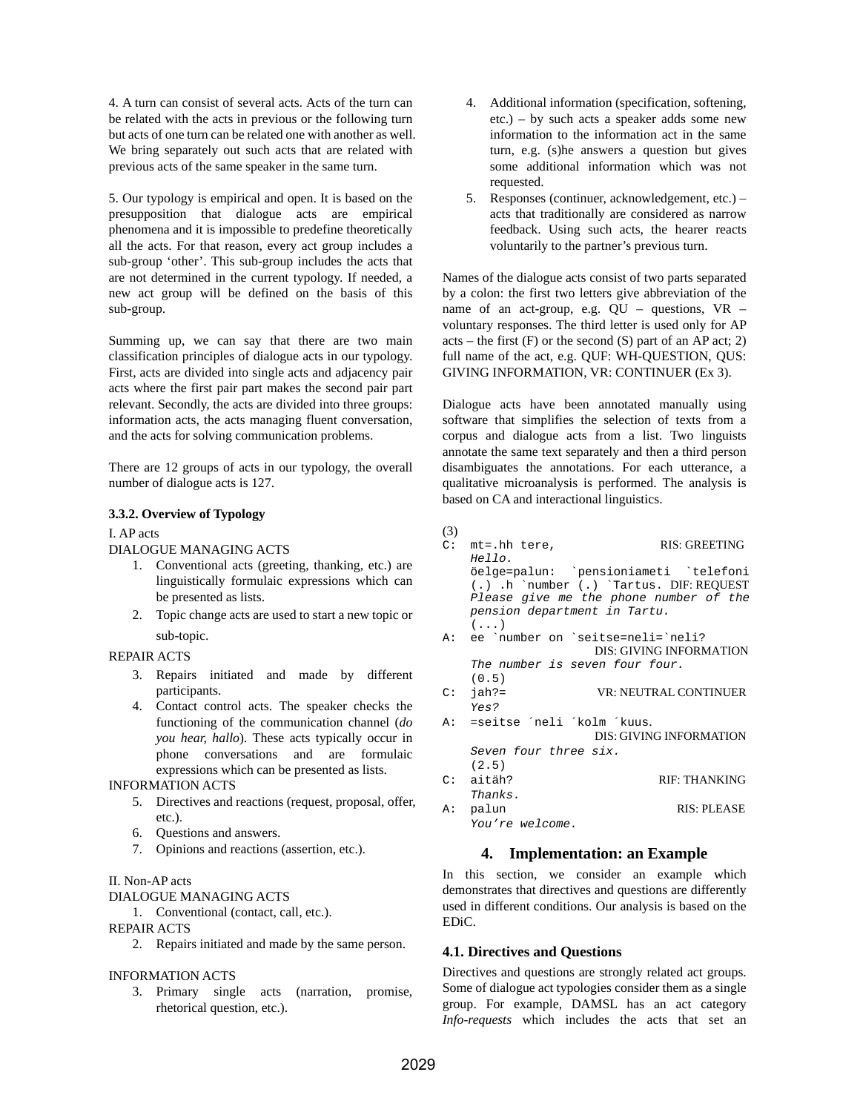4. A turn can consist of several acts. Acts of the turn can be related with the acts in previous or the following turn but acts of one turn can be related one with another as well. We bring separately out such acts that are related with previous acts of the same speaker in the same turn.

5. Our typology is empirical and open. It is based on the presupposition that dialogue acts are empirical phenomena and it is impossible to predefine theoretically all the acts. For that reason, every act group includes a sub-group 'other'. This sub-group includes the acts that are not determined in the current typology. If needed, a new act group will be defined on the basis of this sub-group.

Summing up, we can say that there are two main classification principles of dialogue acts in our typology. First, acts are divided into single acts and adjacency pair acts where the first pair part makes the second pair part relevant. Secondly, the acts are divided into three groups: information acts, the acts managing fluent conversation, and the acts for solving communication problems.

There are 12 groups of acts in our typology, the overall number of dialogue acts is 127.

### **3.3.2. Overview of Typology**

## I. AP acts

## DIALOGUE MANAGING ACTS

- 1. Conventional acts (greeting, thanking, etc.) are linguistically formulaic expressions which can be presented as lists.
- 2. Topic change acts are used to start a new topic or sub-topic.

## REPAIR ACTS

- 3. Repairs initiated and made by different participants.
- 4. Contact control acts. The speaker checks the functioning of the communication channel (*do you hear, hallo*). These acts typically occur in phone conversations and are formulaic expressions which can be presented as lists.

## INFORMATION ACTS

- 5. Directives and reactions (request, proposal, offer, etc.).
- 6. Questions and answers.
- 7. Opinions and reactions (assertion, etc.).

## II. Non-AP acts

## DIALOGUE MANAGING ACTS

1. Conventional (contact, call, etc.).

## REPAIR ACTS

2. Repairs initiated and made by the same person.

## INFORMATION ACTS

3. Primary single acts (narration, promise, rhetorical question, etc.).

- 4. Additional information (specification, softening, etc.) – by such acts a speaker adds some new information to the information act in the same turn, e.g. (s)he answers a question but gives some additional information which was not requested.
- 5. Responses (continuer, acknowledgement, etc.) acts that traditionally are considered as narrow feedback. Using such acts, the hearer reacts voluntarily to the partner's previous turn.

Names of the dialogue acts consist of two parts separated by a colon: the first two letters give abbreviation of the name of an act-group, e.g. QU – questions, VR – voluntary responses. The third letter is used only for AP acts – the first  $(F)$  or the second  $(S)$  part of an AP act; 2) full name of the act, e.g. QUF: WH-QUESTION, QUS: GIVING INFORMATION, VR: CONTINUER (Ex 3).

Dialogue acts have been annotated manually using software that simplifies the selection of texts from a corpus and dialogue acts from a list. Two linguists annotate the same text separately and then a third person disambiguates the annotations. For each utterance, a qualitative microanalysis is performed. The analysis is based on CA and interactional linguistics.

#### (3)

|    | $C:$ mt=.hh tere,<br>Hello.                | <b>RIS: GREETING</b>                                                                                                            |
|----|--------------------------------------------|---------------------------------------------------------------------------------------------------------------------------------|
|    | pension department in Tartu.<br>$(\ldots)$ | öelge=palun: `pensioniameti `telefoni<br>$(.)$ .h `number $(.)$ `Tartus. DIF: REQUEST<br>Please give me the phone number of the |
|    |                                            | A: ee `number on `seitse=neli=`neli?<br><b>DIS: GIVING INFORMATION</b>                                                          |
|    | The number is seven four four.<br>(0.5)    |                                                                                                                                 |
| C: | jah?=<br>Yes?                              | <b>VR: NEUTRAL CONTINUER</b>                                                                                                    |
|    | A: =seitse ´neli ´kolm ´kuus.              |                                                                                                                                 |
|    |                                            | <b>DIS: GIVING INFORMATION</b>                                                                                                  |
|    | Seven four three six.                      |                                                                                                                                 |
|    | (2.5)                                      |                                                                                                                                 |
| C: | aitäh?                                     | RIF: THANKING                                                                                                                   |
|    | Thanks.                                    |                                                                                                                                 |
| A: | palun                                      | RIS: PLEASE                                                                                                                     |
|    | You're welcome.                            |                                                                                                                                 |

# **4. Implementation: an Example**

In this section, we consider an example which demonstrates that directives and questions are differently used in different conditions. Our analysis is based on the EDiC.

## **4.1. Directives and Questions**

Directives and questions are strongly related act groups. Some of dialogue act typologies consider them as a single group. For example, DAMSL has an act category *Info-requests* which includes the acts that set an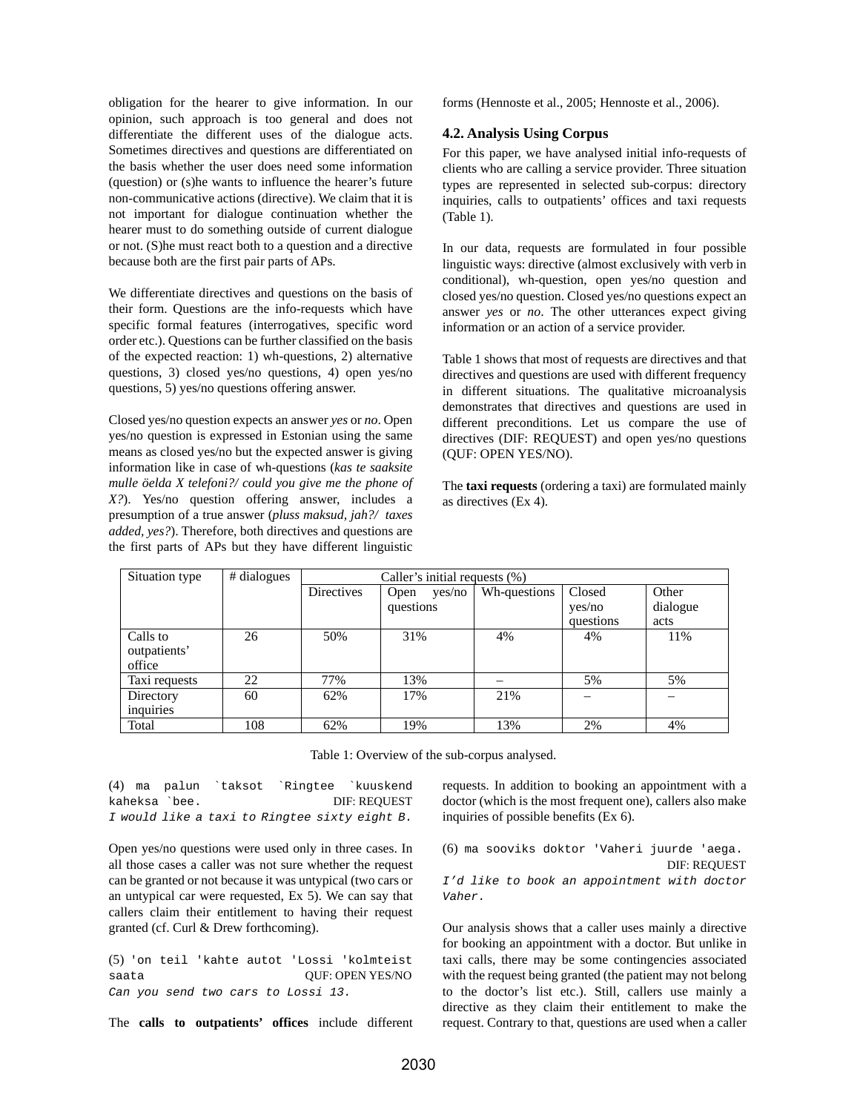obligation for the hearer to give information. In our opinion, such approach is too general and does not differentiate the different uses of the dialogue acts. Sometimes directives and questions are differentiated on the basis whether the user does need some information (question) or (s)he wants to influence the hearer's future non-communicative actions (directive). We claim that it is not important for dialogue continuation whether the hearer must to do something outside of current dialogue or not. (S)he must react both to a question and a directive because both are the first pair parts of APs.

We differentiate directives and questions on the basis of their form. Questions are the info-requests which have specific formal features (interrogatives, specific word order etc.). Questions can be further classified on the basis of the expected reaction: 1) wh-questions, 2) alternative questions, 3) closed yes/no questions, 4) open yes/no questions, 5) yes/no questions offering answer.

Closed yes/no question expects an answer *yes* or *no*. Open yes/no question is expressed in Estonian using the same means as closed yes/no but the expected answer is giving information like in case of wh-questions (*kas te saaksite mulle öelda X telefoni?/ could you give me the phone of X?*). Yes/no question offering answer, includes a presumption of a true answer (*pluss maksud, jah?/ taxes added, yes?*). Therefore, both directives and questions are the first parts of APs but they have different linguistic

forms (Hennoste et al., 2005; Hennoste et al., 2006).

### **4.2. Analysis Using Corpus**

For this paper, we have analysed initial info-requests of clients who are calling a service provider. Three situation types are represented in selected sub-corpus: directory inquiries, calls to outpatients' offices and taxi requests (Table 1).

In our data, requests are formulated in four possible linguistic ways: directive (almost exclusively with verb in conditional), wh-question, open yes/no question and closed yes/no question. Closed yes/no questions expect an answer *yes* or *no*. The other utterances expect giving information or an action of a service provider.

Table 1 shows that most of requests are directives and that directives and questions are used with different frequency in different situations. The qualitative microanalysis demonstrates that directives and questions are used in different preconditions. Let us compare the use of directives (DIF: REQUEST) and open yes/no questions (QUF: OPEN YES/NO).

The **taxi requests** (ordering a taxi) are formulated mainly as directives (Ex 4).

| Situation type                     | # dialogues | Caller's initial requests (%) |                             |              |                               |                           |
|------------------------------------|-------------|-------------------------------|-----------------------------|--------------|-------------------------------|---------------------------|
|                                    |             | <b>Directives</b>             | yes/no<br>Open<br>questions | Wh-questions | Closed<br>yes/no<br>questions | Other<br>dialogue<br>acts |
| Calls to<br>outpatients'<br>office | 26          | 50%                           | 31%                         | 4%           | 4%                            | 11%                       |
| Taxi requests                      | 22          | 77%                           | 13%                         |              | 5%                            | 5%                        |
| Directory<br>inquiries             | 60          | 62%                           | 17%                         | 21%          |                               |                           |
| Total                              | 108         | 62%                           | 19%                         | 13%          | 2%                            | 4%                        |

Table 1: Overview of the sub-corpus analysed.

(4) ma palun `taksot `Ringtee `kuuskend kaheksa `bee. DIF: REQUEST I would like a taxi to Ringtee sixty eight B.

Open yes/no questions were used only in three cases. In all those cases a caller was not sure whether the request can be granted or not because it was untypical (two cars or an untypical car were requested, Ex 5). We can say that callers claim their entitlement to having their request granted (cf. Curl & Drew forthcoming).

(5) 'on teil 'kahte autot 'Lossi 'kolmteist saata  $OUF: OPEND$  YES/NO Can you send two cars to Lossi 13.

The **calls to outpatients' offices** include different

requests. In addition to booking an appointment with a doctor (which is the most frequent one), callers also make inquiries of possible benefits (Ex 6).

(6) ma sooviks doktor 'Vaheri juurde 'aega. DIF: REQUEST I'd like to book an appointment with doctor Vaher.

Our analysis shows that a caller uses mainly a directive for booking an appointment with a doctor. But unlike in taxi calls, there may be some contingencies associated with the request being granted (the patient may not belong to the doctor's list etc.). Still, callers use mainly a directive as they claim their entitlement to make the request. Contrary to that, questions are used when a caller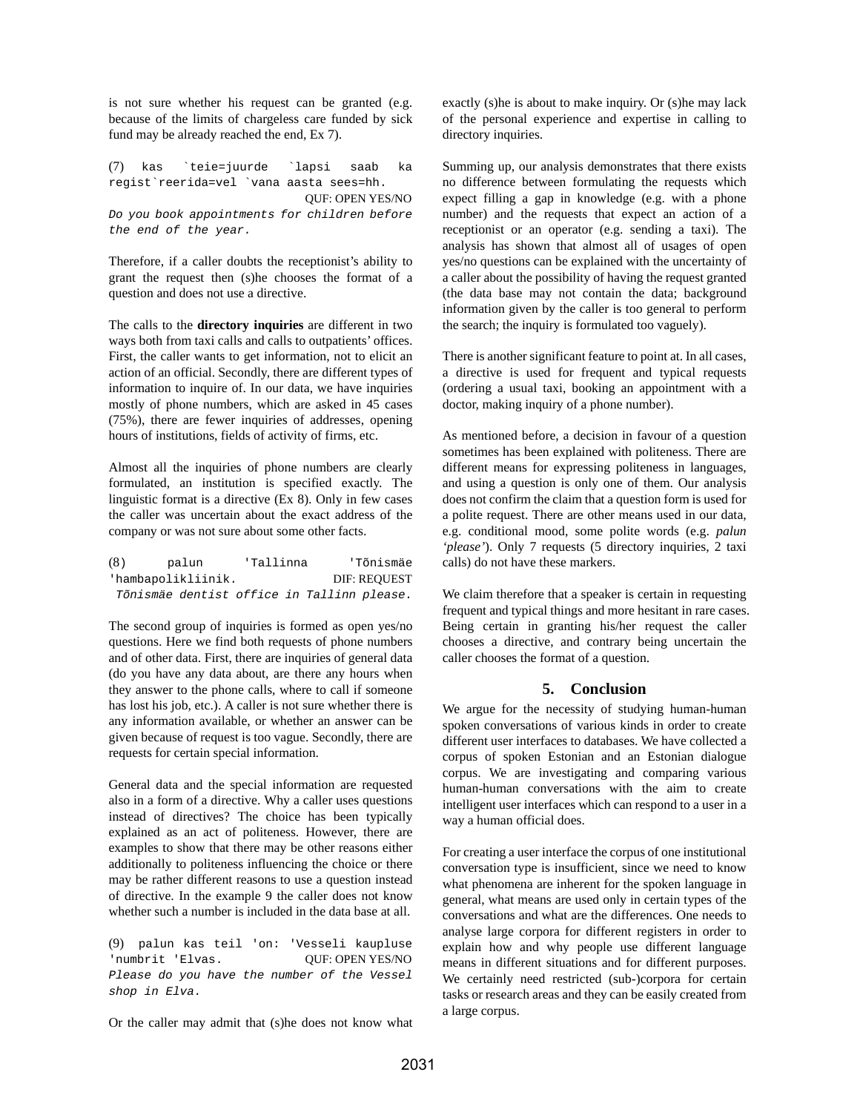is not sure whether his request can be granted (e.g. because of the limits of chargeless care funded by sick fund may be already reached the end, Ex 7).

(7) kas `teie=juurde `lapsi saab ka regist`reerida=vel `vana aasta sees=hh. QUF: OPEN YES/NO Do you book appointments for children before the end of the year.

Therefore, if a caller doubts the receptionist's ability to grant the request then (s)he chooses the format of a question and does not use a directive.

The calls to the **directory inquiries** are different in two ways both from taxi calls and calls to outpatients' offices. First, the caller wants to get information, not to elicit an action of an official. Secondly, there are different types of information to inquire of. In our data, we have inquiries mostly of phone numbers, which are asked in 45 cases (75%), there are fewer inquiries of addresses, opening hours of institutions, fields of activity of firms, etc.

Almost all the inquiries of phone numbers are clearly formulated, an institution is specified exactly. The linguistic format is a directive (Ex 8). Only in few cases the caller was uncertain about the exact address of the company or was not sure about some other facts.

| (8) | palun                                      | 'Tallinna |  | 'Tõnismäe           |
|-----|--------------------------------------------|-----------|--|---------------------|
|     | 'hambapolikliinik.                         |           |  | <b>DIF: REOUEST</b> |
|     | Tõnismäe dentist office in Tallinn please. |           |  |                     |

The second group of inquiries is formed as open yes/no questions. Here we find both requests of phone numbers and of other data. First, there are inquiries of general data (do you have any data about, are there any hours when they answer to the phone calls, where to call if someone has lost his job, etc.). A caller is not sure whether there is any information available, or whether an answer can be given because of request is too vague. Secondly, there are requests for certain special information.

General data and the special information are requested also in a form of a directive. Why a caller uses questions instead of directives? The choice has been typically explained as an act of politeness. However, there are examples to show that there may be other reasons either additionally to politeness influencing the choice or there may be rather different reasons to use a question instead of directive. In the example 9 the caller does not know whether such a number is included in the data base at all.

(9) palun kas teil 'on: 'Vesseli kaupluse 'numbrit 'Elvas. QUF: OPEN YES/NO Please do you have the number of the Vessel shop in Elva.

Or the caller may admit that (s)he does not know what

exactly (s)he is about to make inquiry. Or (s)he may lack of the personal experience and expertise in calling to directory inquiries.

Summing up, our analysis demonstrates that there exists no difference between formulating the requests which expect filling a gap in knowledge (e.g. with a phone number) and the requests that expect an action of a receptionist or an operator (e.g. sending a taxi). The analysis has shown that almost all of usages of open yes/no questions can be explained with the uncertainty of a caller about the possibility of having the request granted (the data base may not contain the data; background information given by the caller is too general to perform the search; the inquiry is formulated too vaguely).

There is another significant feature to point at. In all cases, a directive is used for frequent and typical requests (ordering a usual taxi, booking an appointment with a doctor, making inquiry of a phone number).

As mentioned before, a decision in favour of a question sometimes has been explained with politeness. There are different means for expressing politeness in languages, and using a question is only one of them. Our analysis does not confirm the claim that a question form is used for a polite request. There are other means used in our data, e.g. conditional mood, some polite words (e.g. *palun 'please'*). Only 7 requests (5 directory inquiries, 2 taxi calls) do not have these markers.

We claim therefore that a speaker is certain in requesting frequent and typical things and more hesitant in rare cases. Being certain in granting his/her request the caller chooses a directive, and contrary being uncertain the caller chooses the format of a question.

## **5. Conclusion**

We argue for the necessity of studying human-human spoken conversations of various kinds in order to create different user interfaces to databases. We have collected a corpus of spoken Estonian and an Estonian dialogue corpus. We are investigating and comparing various human-human conversations with the aim to create intelligent user interfaces which can respond to a user in a way a human official does.

For creating a user interface the corpus of one institutional conversation type is insufficient, since we need to know what phenomena are inherent for the spoken language in general, what means are used only in certain types of the conversations and what are the differences. One needs to analyse large corpora for different registers in order to explain how and why people use different language means in different situations and for different purposes. We certainly need restricted (sub-)corpora for certain tasks or research areas and they can be easily created from a large corpus.